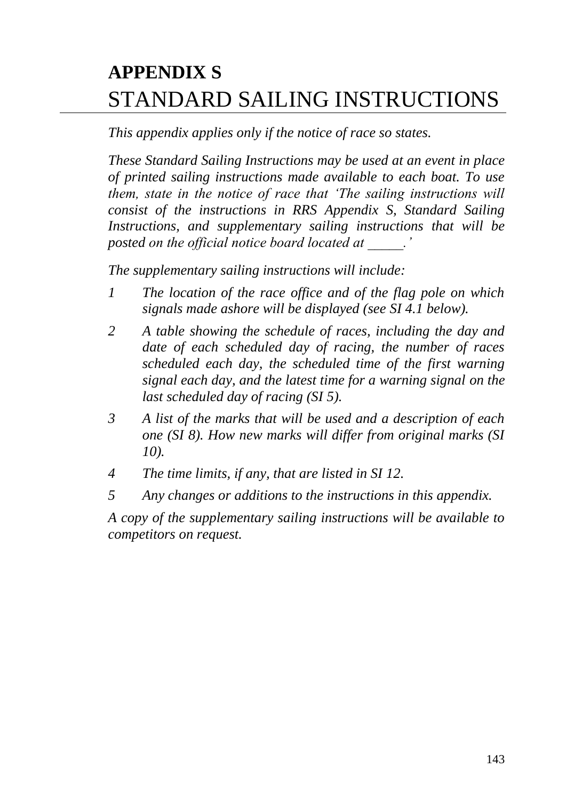# **APPENDIX S** STANDARD SAILING INSTRUCTIONS

*This appendix applies only if the notice of race so states.*

*These Standard Sailing Instructions may be used at an event in place of printed sailing instructions made available to each boat. To use them, state in the notice of race that 'The sailing instructions will consist of the instructions in RRS Appendix S, Standard Sailing Instructions, and supplementary sailing instructions that will be posted on the official notice board located at \_\_\_\_\_.'*

*The supplementary sailing instructions will include:*

- *1 The location of the race office and of the flag pole on which signals made ashore will be displayed (see SI 4.1 below).*
- *2 A table showing the schedule of races, including the day and date of each scheduled day of racing, the number of races scheduled each day, the scheduled time of the first warning signal each day, and the latest time for a warning signal on the last scheduled day of racing (SI 5).*
- *3 A list of the marks that will be used and a description of each one (SI 8). How new marks will differ from original marks (SI 10).*
- *4 The time limits, if any, that are listed in SI 12.*
- *5 Any changes or additions to the instructions in this appendix.*

*A copy of the supplementary sailing instructions will be available to competitors on request.*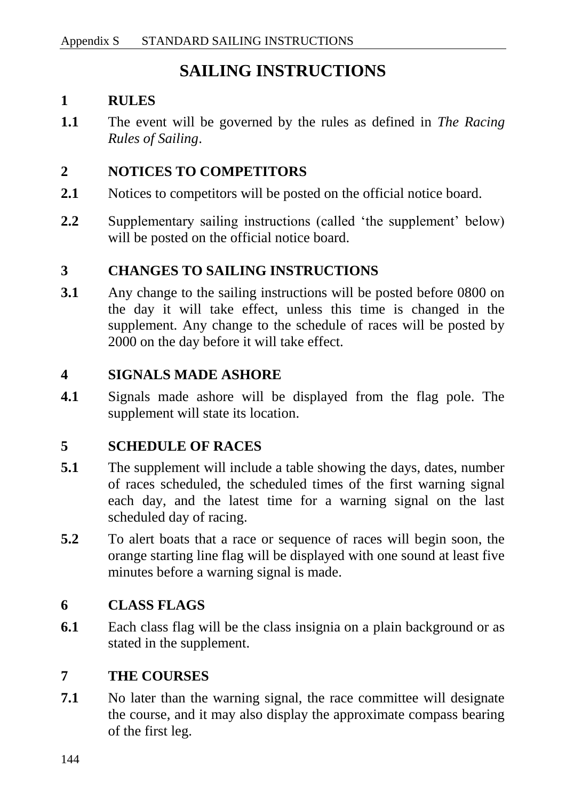# **SAILING INSTRUCTIONS**

#### **1 RULES**

**1.1** The event will be governed by the rules as defined in *The Racing Rules of Sailing*.

#### **2 NOTICES TO COMPETITORS**

- **2.1** Notices to competitors will be posted on the official notice board.
- **2.2** Supplementary sailing instructions (called 'the supplement' below) will be posted on the official notice board.

#### **3 CHANGES TO SAILING INSTRUCTIONS**

**3.1** Any change to the sailing instructions will be posted before 0800 on the day it will take effect, unless this time is changed in the supplement. Any change to the schedule of races will be posted by 2000 on the day before it will take effect.

#### **4 SIGNALS MADE ASHORE**

**4.1** Signals made ashore will be displayed from the flag pole. The supplement will state its location.

#### **5 SCHEDULE OF RACES**

- **5.1** The supplement will include a table showing the days, dates, number of races scheduled, the scheduled times of the first warning signal each day, and the latest time for a warning signal on the last scheduled day of racing.
- **5.2** To alert boats that a race or sequence of races will begin soon, the orange starting line flag will be displayed with one sound at least five minutes before a warning signal is made.

#### **6 CLASS FLAGS**

**6.1** Each class flag will be the class insignia on a plain background or as stated in the supplement.

#### **7 THE COURSES**

**7.1** No later than the warning signal, the race committee will designate the course, and it may also display the approximate compass bearing of the first leg.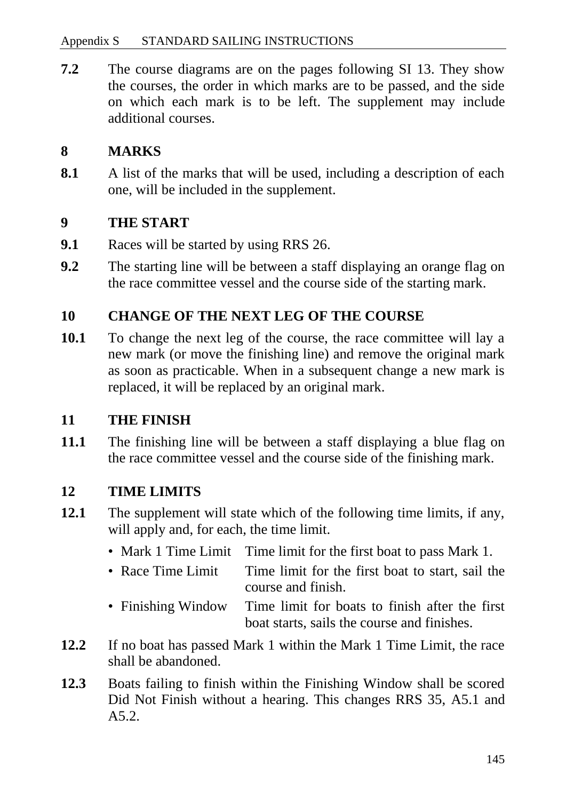**7.2** The course diagrams are on the pages following SI 13. They show the courses, the order in which marks are to be passed, and the side on which each mark is to be left. The supplement may include additional courses.

## **8 MARKS**

**8.1** A list of the marks that will be used, including a description of each one, will be included in the supplement.

#### **9 THE START**

- **9.1** Races will be started by using RRS 26.
- **9.2** The starting line will be between a staff displaying an orange flag on the race committee vessel and the course side of the starting mark.

### **10 CHANGE OF THE NEXT LEG OF THE COURSE**

**10.1** To change the next leg of the course, the race committee will lay a new mark (or move the finishing line) and remove the original mark as soon as practicable. When in a subsequent change a new mark is replaced, it will be replaced by an original mark.

#### **11 THE FINISH**

**11.1** The finishing line will be between a staff displaying a blue flag on the race committee vessel and the course side of the finishing mark.

#### **12 TIME LIMITS**

- **12.1** The supplement will state which of the following time limits, if any, will apply and, for each, the time limit.
	- Mark 1 Time Limit Time limit for the first boat to pass Mark 1.
	- Race Time Limit Time limit for the first boat to start, sail the course and finish.
	- Finishing Window Time limit for boats to finish after the first boat starts, sails the course and finishes.
- **12.2** If no boat has passed Mark 1 within the Mark 1 Time Limit, the race shall be abandoned.
- **12.3** Boats failing to finish within the Finishing Window shall be scored Did Not Finish without a hearing. This changes RRS 35, A5.1 and A5.2.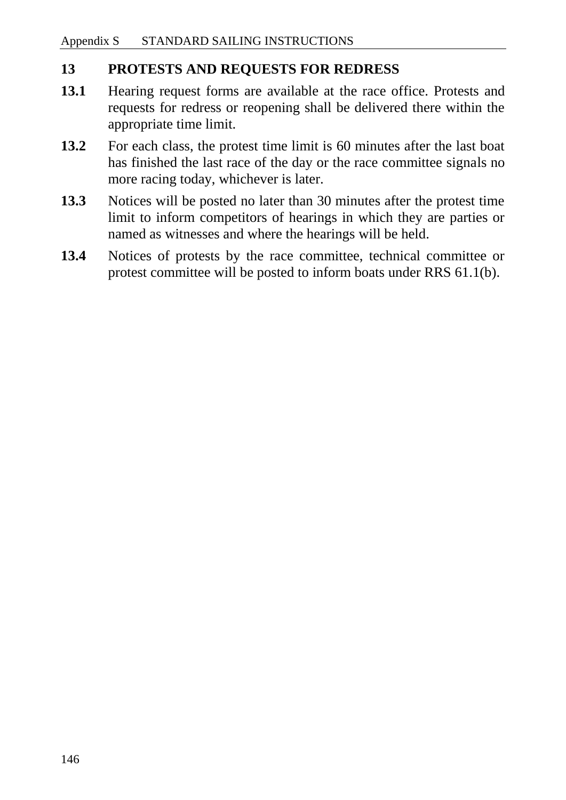#### **13 PROTESTS AND REQUESTS FOR REDRESS**

- **13.1** Hearing request forms are available at the race office. Protests and requests for redress or reopening shall be delivered there within the appropriate time limit.
- **13.2** For each class, the protest time limit is 60 minutes after the last boat has finished the last race of the day or the race committee signals no more racing today, whichever is later.
- **13.3** Notices will be posted no later than 30 minutes after the protest time limit to inform competitors of hearings in which they are parties or named as witnesses and where the hearings will be held.
- **13.4** Notices of protests by the race committee, technical committee or protest committee will be posted to inform boats under RRS 61.1(b).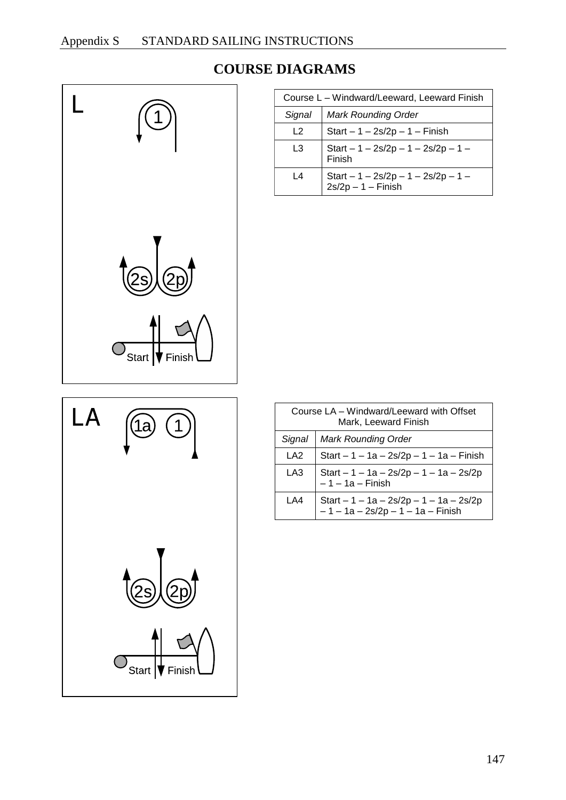

Ίa

#### **COURSE DIAGRAMS**

| Course L - Windward/Leeward, Leeward Finish |                                                         |  |
|---------------------------------------------|---------------------------------------------------------|--|
| Signal                                      | <b>Mark Rounding Order</b>                              |  |
| 12                                          | Start $-1 - 2s/2p - 1 - F$ inish                        |  |
| L3                                          | Start $-1 - 2s/2p - 1 - 2s/2p - 1 -$<br>Finish          |  |
| L4                                          | Start $-1 - 2s/2p - 1 - 2s/2p - 1 - 2s/2p - 1 -$ Finish |  |

| Course LA – Windward/Leeward with Offset                                         |
|----------------------------------------------------------------------------------|
| Mark, Leeward Finish                                                             |
|                                                                                  |
| Start $-1 - 1a - 2s/2p - 1 - 1a - F$ inish                                       |
| Start $-1 - 1a - 2s/2p - 1 - 1a - 2s/2p$                                         |
| Start $-1 - 1a - 2s/2p - 1 - 1a - 2s/2p$<br>$-1 - 1a - 2s/2p - 1 - 1a - F$ inish |
|                                                                                  |
|                                                                                  |



LA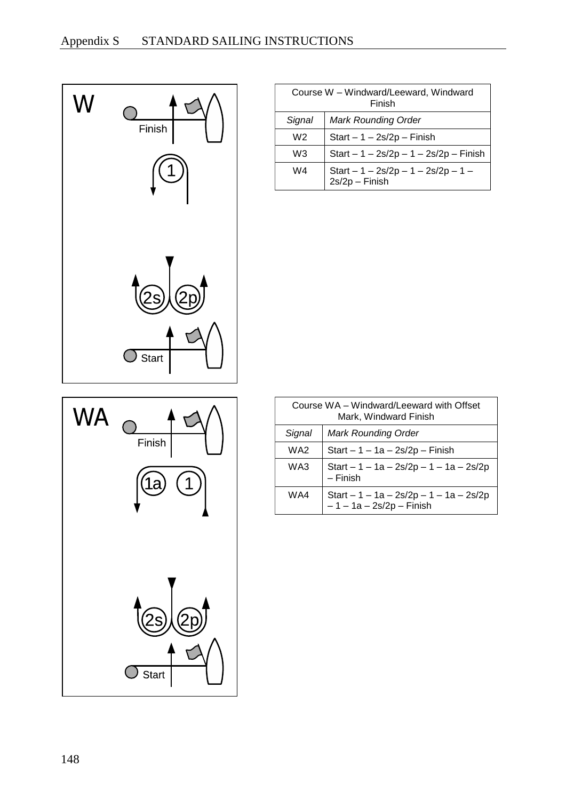



| Course W - Windward/Leeward, Windward<br>Finish |                                                        |  |
|-------------------------------------------------|--------------------------------------------------------|--|
| Signal                                          | <b>Mark Rounding Order</b>                             |  |
| W2                                              | Start $-1 - 2s/2p - F$ inish                           |  |
| WЗ                                              | Start $- 1 - 2s/2p - 1 - 2s/2p - F$ inish              |  |
| W4                                              | Start $-1 - 2s/2p - 1 - 2s/2p - 1 -$<br>2s/2p - Finish |  |

| Course WA – Windward/Leeward with Offset<br>Mark, Windward Finish |                                                                       |  |
|-------------------------------------------------------------------|-----------------------------------------------------------------------|--|
| Signal                                                            | <b>Mark Rounding Order</b>                                            |  |
| WA2                                                               | Start $-1 - 1a - 2s/2p - Finish$                                      |  |
| WA3                                                               | Start $-1 - 1a - 2s/2p - 1 - 1a - 2s/2p$<br>– Finish                  |  |
| WA4                                                               | Start $-1 - 1a - 2s/2p - 1 - 1a - 2s/2p$<br>- 1 - 1a - 2s/2p - Finish |  |